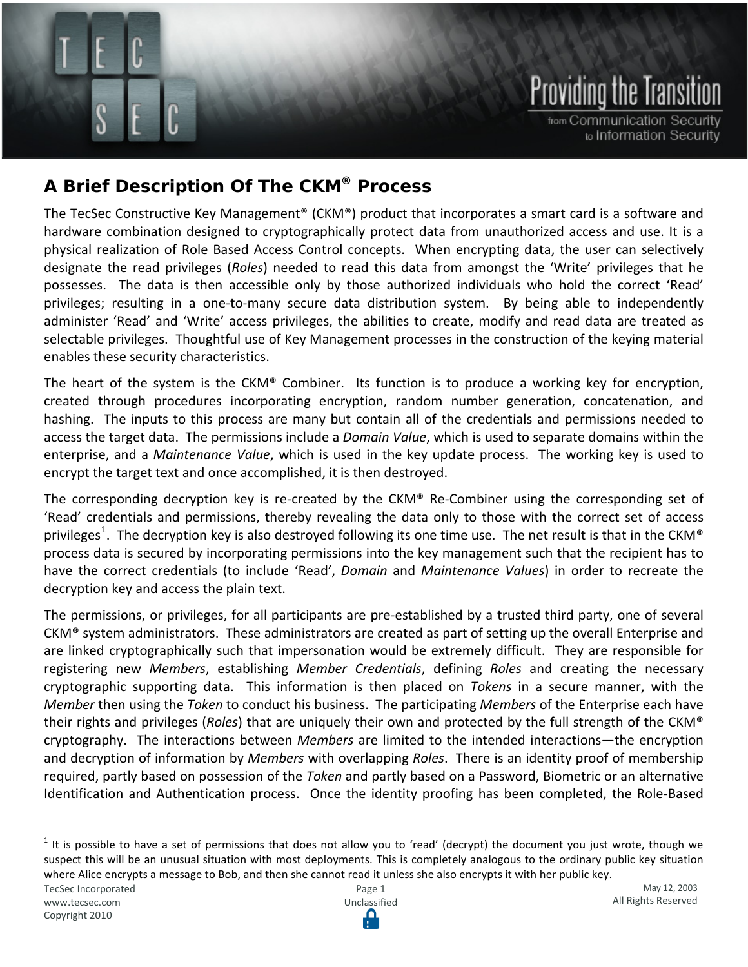# **Providing the Transit**

from Communication Security to Information Security

## **A Brief Description Of The CKM® Process**

A Brief Description of the CKM Process

The TecSec Constructive Key Management® (CKM®) product that incorporates a smart card is a software and hardware combination designed to cryptographically protect data from unauthorized access and use. It is a physical realization of Role Based Access Control concepts. When encrypting data, the user can selectively designate the read privileges (*Roles*) needed to read this data from amongst the 'Write' privileges that he possesses. The data is then accessible only by those authorized individuals who hold the correct 'Read' privileges; resulting in a one-to-many secure data distribution system. By being able to independently administer 'Read' and 'Write' access privileges, the abilities to create, modify and read data are treated as selectable privileges. Thoughtful use of Key Management processes in the construction of the keying material enables these security characteristics.

The heart of the system is the  $CKM^{\odot}$  Combiner. Its function is to produce a working key for encryption, created through procedures incorporating encryption, random number generation, concatenation, and hashing. The inputs to this process are many but contain all of the credentials and permissions needed to access the target data. The permissions include a *Domain Value*, which is used to separate domains within the enterprise, and a *Maintenance Value*, which is used in the key update process. The working key is used to encrypt the target text and once accomplished, it is then destroyed.

The corresponding decryption key is re-created by the CKM® Re-Combiner using the corresponding set of 'Read' credentials and permissions, thereby revealing the data only to those with the correct set of access privileges<sup>[1](#page-0-0)</sup>. The decryption key is also destroyed following its one time use. The net result is that in the CKM® process data is secured by incorporating permissions into the key management such that the recipient has to have the correct credentials (to include 'Read', *Domain* and *Maintenance Values*) in order to recreate the decryption key and access the plain text.

The permissions, or privileges, for all participants are pre-established by a trusted third party, one of several CKM® system administrators. These administrators are created as part of setting up the overall Enterprise and are linked cryptographically such that impersonation would be extremely difficult. They are responsible for registering new *Members*, establishing *Member Credentials*, defining *Roles* and creating the necessary cryptographic supporting data. This information is then placed on *Tokens* in a secure manner, with the *Member* then using the *Token* to conduct his business. The participating *Members* of the Enterprise each have their rights and privileges (*Roles*) that are uniquely their own and protected by the full strength of the CKM® cryptography. The interactions between *Members* are limited to the intended interactions—the encryption and decryption of information by *Members* with overlapping *Roles*. There is an identity proof of membership required, partly based on possession of the *Token* and partly based on a Password, Biometric or an alternative Identification and Authentication process. Once the identity proofing has been completed, the Role-Based

<span id="page-0-0"></span> $1$  It is possible to have a set of permissions that does not allow you to 'read' (decrypt) the document you just wrote, though we suspect this will be an unusual situation with most deployments. This is completely analogous to the ordinary public key situation where Alice encrypts a message to Bob, and then she cannot read it unless she also encrypts it with her public key.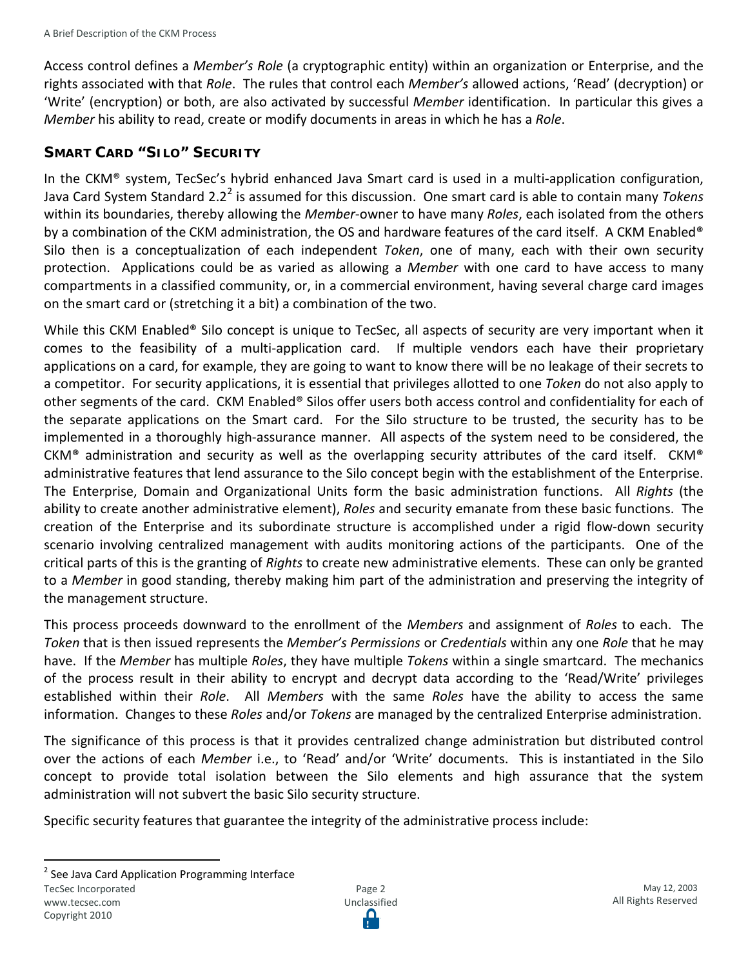Access control defines a *Member's Role* (a cryptographic entity) within an organization or Enterprise, and the rights associated with that *Role*. The rules that control each *Member's* allowed actions, 'Read' (decryption) or 'Write' (encryption) or both, are also activated by successful *Member* identification. In particular this gives a *Member* his ability to read, create or modify documents in areas in which he has a *Role*.

#### **SMART CARD "SILO" SECURITY**

In the CKM® system, TecSec's hybrid enhanced Java Smart card is used in a multi-application configuration, Java Card System Standard [2](#page-1-0).2<sup>2</sup> is assumed for this discussion. One smart card is able to contain many *Tokens* within its boundaries, thereby allowing the *Member*-owner to have many *Roles*, each isolated from the others by a combination of the CKM administration, the OS and hardware features of the card itself. A CKM Enabled® Silo then is a conceptualization of each independent *Token*, one of many, each with their own security protection. Applications could be as varied as allowing a *Member* with one card to have access to many compartments in a classified community, or, in a commercial environment, having several charge card images on the smart card or (stretching it a bit) a combination of the two.

While this CKM Enabled<sup>®</sup> Silo concept is unique to TecSec, all aspects of security are very important when it comes to the feasibility of a multi-application card. If multiple vendors each have their proprietary applications on a card, for example, they are going to want to know there will be no leakage of their secrets to a competitor. For security applications, it is essential that privileges allotted to one *Token* do not also apply to other segments of the card. CKM Enabled® Silos offer users both access control and confidentiality for each of the separate applications on the Smart card. For the Silo structure to be trusted, the security has to be implemented in a thoroughly high-assurance manner. All aspects of the system need to be considered, the CKM® administration and security as well as the overlapping security attributes of the card itself. CKM® administrative features that lend assurance to the Silo concept begin with the establishment of the Enterprise. The Enterprise, Domain and Organizational Units form the basic administration functions. All *Rights* (the ability to create another administrative element), *Roles* and security emanate from these basic functions. The creation of the Enterprise and its subordinate structure is accomplished under a rigid flow-down security scenario involving centralized management with audits monitoring actions of the participants. One of the critical parts of this is the granting of *Rights* to create new administrative elements. These can only be granted to a *Member* in good standing, thereby making him part of the administration and preserving the integrity of the management structure.

This process proceeds downward to the enrollment of the *Members* and assignment of *Roles* to each. The *Token* that is then issued represents the *Member's Permissions* or *Credentials* within any one *Role* that he may have. If the *Member* has multiple *Roles*, they have multiple *Tokens* within a single smartcard. The mechanics of the process result in their ability to encrypt and decrypt data according to the 'Read/Write' privileges established within their *Role*. All *Members* with the same *Roles* have the ability to access the same information. Changes to these *Roles* and/or *Tokens* are managed by the centralized Enterprise administration.

The significance of this process is that it provides centralized change administration but distributed control over the actions of each *Member* i.e., to 'Read' and/or 'Write' documents. This is instantiated in the Silo concept to provide total isolation between the Silo elements and high assurance that the system administration will not subvert the basic Silo security structure.

Specific security features that guarantee the integrity of the administrative process include:

<span id="page-1-0"></span><sup>&</sup>lt;sup>2</sup> See Java Card Application Programming Interface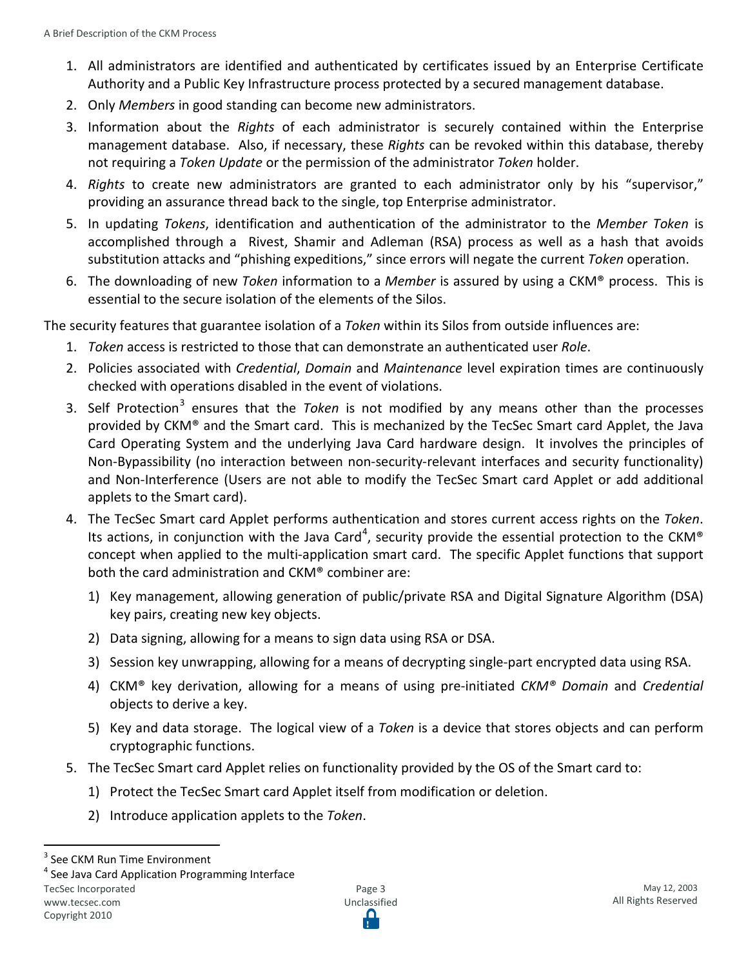- 1. All administrators are identified and authenticated by certificates issued by an Enterprise Certificate Authority and a Public Key Infrastructure process protected by a secured management database.
- 2. Only *Members* in good standing can become new administrators.
- 3. Information about the *Rights* of each administrator is securely contained within the Enterprise management database. Also, if necessary, these *Rights* can be revoked within this database, thereby not requiring a *Token Update* or the permission of the administrator *Token* holder.
- 4. *Rights* to create new administrators are granted to each administrator only by his "supervisor," providing an assurance thread back to the single, top Enterprise administrator.
- 5. In updating *Tokens*, identification and authentication of the administrator to the *Member Token* is accomplished through a Rivest, Shamir and Adleman (RSA) process as well as a hash that avoids substitution attacks and "phishing expeditions," since errors will negate the current *Token* operation.
- 6. The downloading of new *Token* information to a *Member* is assured by using a CKM® process. This is essential to the secure isolation of the elements of the Silos.

The security features that guarantee isolation of a *Token* within its Silos from outside influences are:

- 1. *Token* access is restricted to those that can demonstrate an authenticated user *Role*.
- 2. Policies associated with *Credential*, *Domain* and *Maintenance* level expiration times are continuously checked with operations disabled in the event of violations.
- [3](#page-2-0). Self Protection<sup>3</sup> ensures that the *Token* is not modified by any means other than the processes provided by CKM® and the Smart card. This is mechanized by the TecSec Smart card Applet, the Java Card Operating System and the underlying Java Card hardware design. It involves the principles of Non-Bypassibility (no interaction between non-security-relevant interfaces and security functionality) and Non-Interference (Users are not able to modify the TecSec Smart card Applet or add additional applets to the Smart card).
- 4. The TecSec Smart card Applet performs authentication and stores current access rights on the *Token*. Its actions, in conjunction with the Java Card<sup>[4](#page-2-1)</sup>, security provide the essential protection to the CKM® concept when applied to the multi-application smart card. The specific Applet functions that support both the card administration and CKM® combiner are:
	- 1) Key management, allowing generation of public/private RSA and Digital Signature Algorithm (DSA) key pairs, creating new key objects.
	- 2) Data signing, allowing for a means to sign data using RSA or DSA.
	- 3) Session key unwrapping, allowing for a means of decrypting single-part encrypted data using RSA.
	- 4) CKM® key derivation, allowing for a means of using pre-initiated *CKM® Domain* and *Credential*  objects to derive a key.
	- 5) Key and data storage. The logical view of a *Token* is a device that stores objects and can perform cryptographic functions.
- 5. The TecSec Smart card Applet relies on functionality provided by the OS of the Smart card to:
	- 1) Protect the TecSec Smart card Applet itself from modification or deletion.
	- 2) Introduce application applets to the *Token*.

TecSec Incorporated [www.tecsec.com](http://www.tecsec.com/)

<span id="page-2-1"></span><span id="page-2-0"></span>

 $3$  See CKM Run Time Environment<br> $4$  See Java Card Application Programming Interface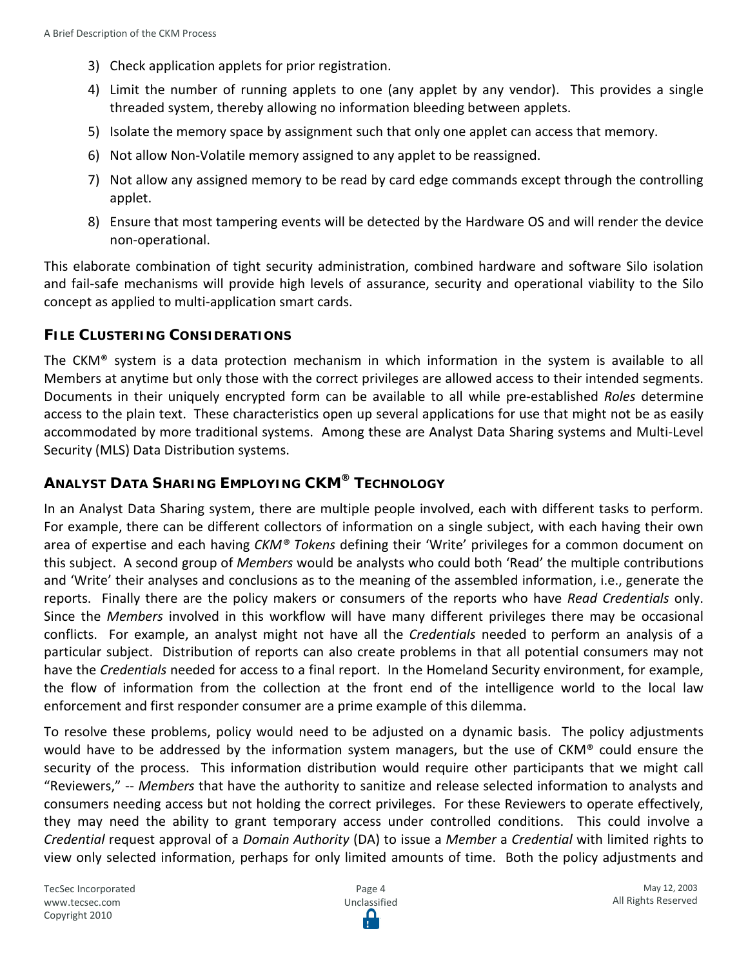- 3) Check application applets for prior registration.
- 4) Limit the number of running applets to one (any applet by any vendor). This provides a single threaded system, thereby allowing no information bleeding between applets.
- 5) Isolate the memory space by assignment such that only one applet can access that memory.
- 6) Not allow Non-Volatile memory assigned to any applet to be reassigned.
- 7) Not allow any assigned memory to be read by card edge commands except through the controlling applet.
- 8) Ensure that most tampering events will be detected by the Hardware OS and will render the device non-operational.

This elaborate combination of tight security administration, combined hardware and software Silo isolation and fail-safe mechanisms will provide high levels of assurance, security and operational viability to the Silo concept as applied to multi-application smart cards.

#### **FILE CLUSTERING CONSIDERATIONS**

The CKM® system is a data protection mechanism in which information in the system is available to all Members at anytime but only those with the correct privileges are allowed access to their intended segments. Documents in their uniquely encrypted form can be available to all while pre-established *Roles* determine access to the plain text. These characteristics open up several applications for use that might not be as easily accommodated by more traditional systems. Among these are Analyst Data Sharing systems and Multi-Level Security (MLS) Data Distribution systems.

### **ANALYST DATA SHARING EMPLOYING CKM® TECHNOLOGY**

In an Analyst Data Sharing system, there are multiple people involved, each with different tasks to perform. For example, there can be different collectors of information on a single subject, with each having their own area of expertise and each having *CKM® Tokens* defining their 'Write' privileges for a common document on this subject. A second group of *Members* would be analysts who could both 'Read' the multiple contributions and 'Write' their analyses and conclusions as to the meaning of the assembled information, i.e., generate the reports. Finally there are the policy makers or consumers of the reports who have *Read Credentials* only. Since the *Members* involved in this workflow will have many different privileges there may be occasional conflicts. For example, an analyst might not have all the *Credentials* needed to perform an analysis of a particular subject. Distribution of reports can also create problems in that all potential consumers may not have the *Credentials* needed for access to a final report. In the Homeland Security environment, for example, the flow of information from the collection at the front end of the intelligence world to the local law enforcement and first responder consumer are a prime example of this dilemma.

To resolve these problems, policy would need to be adjusted on a dynamic basis. The policy adjustments would have to be addressed by the information system managers, but the use of CKM® could ensure the security of the process. This information distribution would require other participants that we might call "Reviewers," -- *Members* that have the authority to sanitize and release selected information to analysts and consumers needing access but not holding the correct privileges. For these Reviewers to operate effectively, they may need the ability to grant temporary access under controlled conditions. This could involve a *Credential* request approval of a *Domain Authority* (DA) to issue a *Member* a *Credential* with limited rights to view only selected information, perhaps for only limited amounts of time. Both the policy adjustments and